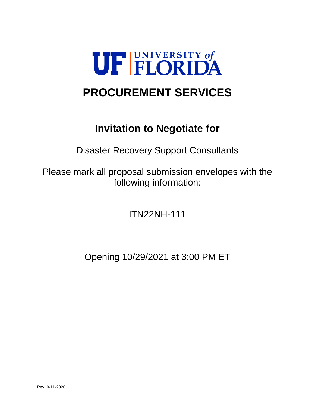

# **PROCUREMENT SERVICES**

# **Invitation to Negotiate for**

Disaster Recovery Support Consultants

Please mark all proposal submission envelopes with the following information:

ITN22NH-111

Opening 10/29/2021 at 3:00 PM ET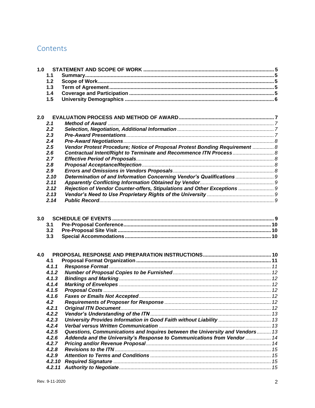# Contents

|     | 1.1    |                                                                              |  |
|-----|--------|------------------------------------------------------------------------------|--|
|     | 1.2    |                                                                              |  |
|     | 1.3    |                                                                              |  |
|     | 1.4    |                                                                              |  |
|     | 1.5    |                                                                              |  |
|     |        |                                                                              |  |
|     |        |                                                                              |  |
| 2.0 |        |                                                                              |  |
|     | 2.1    |                                                                              |  |
|     | 2.2    |                                                                              |  |
|     | 2.3    |                                                                              |  |
|     | 2.4    |                                                                              |  |
|     | 2.5    | Vendor Protest Procedure; Notice of Proposal Protest Bonding Requirement  8  |  |
|     | 2.6    |                                                                              |  |
|     | 2.7    |                                                                              |  |
|     | 2.8    |                                                                              |  |
|     | 2.9    |                                                                              |  |
|     | 2.10   | Determination of and Information Concerning Vendor's Qualifications  9       |  |
|     | 2.11   |                                                                              |  |
|     | 2.12   | Rejection of Vendor Counter-offers, Stipulations and Other Exceptions  9     |  |
|     | 2.13   |                                                                              |  |
|     | 2.14   |                                                                              |  |
|     |        |                                                                              |  |
| 3.0 |        |                                                                              |  |
|     | 3.1    |                                                                              |  |
|     | 3.2    |                                                                              |  |
|     | 3.3    |                                                                              |  |
|     |        |                                                                              |  |
|     |        |                                                                              |  |
| 4.0 |        |                                                                              |  |
|     | 4.1    |                                                                              |  |
|     | 4.1.1  |                                                                              |  |
|     | 4.1.2  |                                                                              |  |
|     | 4.1.3  |                                                                              |  |
|     | 4.1.4  |                                                                              |  |
|     | 4.1.5  |                                                                              |  |
|     | 4.1.6  |                                                                              |  |
|     | 4.2    |                                                                              |  |
|     | 4.2.1  |                                                                              |  |
|     | 4.2.2  |                                                                              |  |
|     | 4.2.3  | University Provides Information in Good Faith without Liability  13          |  |
|     | 4.2.4  |                                                                              |  |
|     | 4.2.5  | Questions, Communications and Inquires between the University and Vendors 13 |  |
|     | 4.2.6  | Addenda and the University's Response to Communications from Vendor  14      |  |
|     | 4.2.7  |                                                                              |  |
|     | 4.2.8  |                                                                              |  |
|     | 4.2.9  |                                                                              |  |
|     | 4.2.10 |                                                                              |  |
|     | 4.2.11 |                                                                              |  |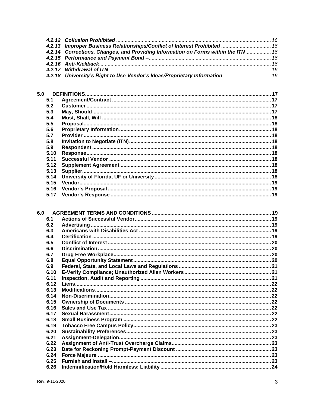| 4.2.13 Improper Business Relationships/Conflict of Interest Prohibited  16        |  |
|-----------------------------------------------------------------------------------|--|
| 4.2.14 Corrections, Changes, and Providing Information on Forms within the ITN 16 |  |
|                                                                                   |  |
|                                                                                   |  |
|                                                                                   |  |
| 4.2.18 University's Right to Use Vendor's Ideas/Proprietary Information  16       |  |

| 5.0 |      |  |
|-----|------|--|
|     | 5.1  |  |
|     | 5.2  |  |
|     | 5.3  |  |
|     | 5.4  |  |
|     | 5.5  |  |
|     | 5.6  |  |
|     | 5.7  |  |
|     | 5.8  |  |
|     | 5.9  |  |
|     | 5.10 |  |
|     | 511  |  |
|     | 5.12 |  |
|     | 5.13 |  |
|     | 5.14 |  |
|     | 5.15 |  |
|     | 5.16 |  |
|     | 5.17 |  |
|     |      |  |

| 6.0 |      |  |
|-----|------|--|
|     | 6.1  |  |
|     | 6.2  |  |
|     | 6.3  |  |
|     | 6.4  |  |
|     | 6.5  |  |
|     | 6.6  |  |
|     | 6.7  |  |
|     | 6.8  |  |
|     | 6.9  |  |
|     | 6.10 |  |
|     | 6.11 |  |
|     | 6.12 |  |
|     | 6.13 |  |
|     | 6.14 |  |
|     | 6.15 |  |
|     | 6.16 |  |
|     | 6.17 |  |
|     | 6.18 |  |
|     | 6.19 |  |
|     | 6.20 |  |
|     | 6.21 |  |
|     | 6.22 |  |
|     | 6.23 |  |
|     | 6.24 |  |
|     | 6.25 |  |
|     | 6.26 |  |
|     |      |  |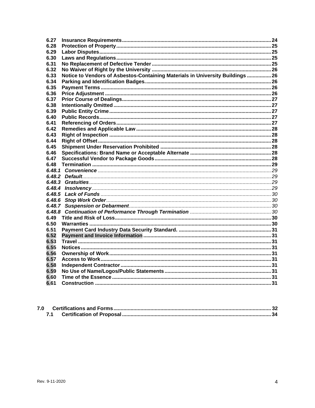| 6.27   |                                                                                |  |
|--------|--------------------------------------------------------------------------------|--|
| 6.28   |                                                                                |  |
| 6.29   |                                                                                |  |
| 6.30   |                                                                                |  |
| 6.31   |                                                                                |  |
| 6.32   |                                                                                |  |
| 6.33   | Notice to Vendors of Asbestos-Containing Materials in University Buildings  26 |  |
| 6.34   |                                                                                |  |
| 6.35   |                                                                                |  |
| 6.36   |                                                                                |  |
| 6.37   |                                                                                |  |
| 6.38   |                                                                                |  |
| 6.39   |                                                                                |  |
| 6.40   |                                                                                |  |
| 6.41   |                                                                                |  |
| 6.42   |                                                                                |  |
| 6.43   |                                                                                |  |
| 6.44   |                                                                                |  |
| 6.45   |                                                                                |  |
| 6.46   |                                                                                |  |
| 6.47   |                                                                                |  |
| 6.48   |                                                                                |  |
|        |                                                                                |  |
|        |                                                                                |  |
| 6.48.3 |                                                                                |  |
| 6.48.4 |                                                                                |  |
| 6.48.5 |                                                                                |  |
| 6.48.6 |                                                                                |  |
|        |                                                                                |  |
| 6.48.8 |                                                                                |  |
| 6.49   |                                                                                |  |
| 6.50   |                                                                                |  |
| 6.51   |                                                                                |  |
| 6.52   |                                                                                |  |
| 6.53   |                                                                                |  |
| 6.55   |                                                                                |  |
| 6.56   |                                                                                |  |
| 6.57   |                                                                                |  |
| 6.58   |                                                                                |  |
| 6.59   |                                                                                |  |
| 6.60   |                                                                                |  |
| 6.61   |                                                                                |  |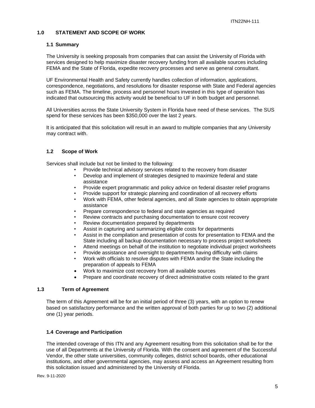## <span id="page-4-0"></span>**1.0 STATEMENT AND SCOPE OF WORK**

#### <span id="page-4-1"></span>**1.1 Summary**

The University is seeking proposals from companies that can assist the University of Florida with services designed to help maximize disaster recovery funding from all available sources including FEMA and the State of Florida, expedite recovery processes and serve as general consultant.

UF Environmental Health and Safety currently handles collection of information, applications, correspondence, negotiations, and resolutions for disaster response with State and Federal agencies such as FEMA. The timeline, process and personnel hours invested in this type of operation has indicated that outsourcing this activity would be beneficial to UF in both budget and personnel.

All Universities across the State University System in Florida have need of these services. The SUS spend for these services has been \$350,000 over the last 2 years.

It is anticipated that this solicitation will result in an award to multiple companies that any University may contract with.

## <span id="page-4-2"></span>**1.2 Scope of Work**

Services shall include but not be limited to the following:

- Provide technical advisory services related to the recovery from disaster
- Develop and implement of strategies designed to maximize federal and state assistance
- Provide expert programmatic and policy advice on federal disaster relief programs
- Provide support for strategic planning and coordination of all recovery efforts
- Work with FEMA, other federal agencies, and all State agencies to obtain appropriate assistance
- Prepare correspondence to federal and state agencies as required
- Review contracts and purchasing documentation to ensure cost recovery
- Review documentation prepared by departments
- Assist in capturing and summarizing eligible costs for departments
- Assist in the compilation and presentation of costs for presentation to FEMA and the State including all backup documentation necessary to process project worksheets
- Attend meetings on behalf of the institution to negotiate individual project worksheets
- Provide assistance and oversight to departments having difficulty with claims
- Work with officials to resolve disputes with FEMA and/or the State including the preparation of appeals to FEMA
- Work to maximize cost recovery from all available sources
- Prepare and coordinate recovery of direct administrative costs related to the grant

## <span id="page-4-3"></span>**1.3 Term of Agreement**

The term of this Agreement will be for an initial period of three (3) years, with an option to renew based on satisfactory performance and the written approval of both parties for up to two (2) additional one (1) year periods.

## <span id="page-4-4"></span>**1.4 Coverage and Participation**

The intended coverage of this ITN and any Agreement resulting from this solicitation shall be for the use of all Departments at the University of Florida. With the consent and agreement of the Successful Vendor, the other state universities, community colleges, district school boards, other educational institutions, and other governmental agencies, may assess and access an Agreement resulting from this solicitation issued and administered by the University of Florida.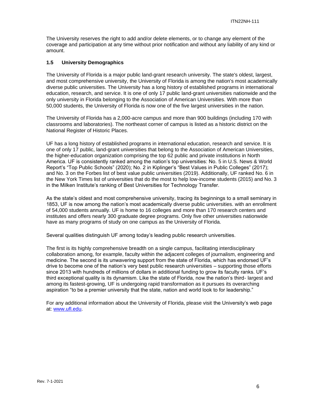The University reserves the right to add and/or delete elements, or to change any element of the coverage and participation at any time without prior notification and without any liability of any kind or amount.

## <span id="page-5-0"></span>**1.5 University Demographics**

The University of Florida is a major public land-grant research university. The state's oldest, largest, and most comprehensive university, the University of Florida is among the nation's most academically diverse public universities. The University has a long history of established programs in international education, research, and service. It is one of only 17 public land-grant universities nationwide and the only university in Florida belonging to the Association of American Universities. With more than 50,000 students, the University of Florida is now one of the five largest universities in the nation.

The University of Florida has a 2,000-acre campus and more than 900 buildings (including 170 with classrooms and laboratories). The northeast corner of campus is listed as a historic district on the National Register of Historic Places.

UF has a long history of established programs in international education, research and service. It is one of only 17 public, land-grant universities that belong to the Association of American Universities, the higher-education organization comprising the top 62 public and private institutions in North America. UF is consistently ranked among the nation's top universities: No. 5 in U.S. News & World Report's "Top Public Schools" (2020); No. 2 in Kiplinger's "Best Values in Public Colleges" (2017); and No. 3 on the Forbes list of best value public universities (2019). Additionally, UF ranked No. 6 in the New York Times list of universities that do the most to help low-income students (2015) and No. 3 in the Milken Institute's ranking of Best Universities for Technology Transfer.

As the state's oldest and most comprehensive university, tracing its beginnings to a small seminary in 1853, UF is now among the nation's most academically diverse public universities. with an enrollment of 54,000 students annually. UF is home to 16 colleges and more than 170 research centers and institutes and offers nearly 300 graduate degree programs. Only five other universities nationwide have as many programs of study on one campus as the University of Florida.

Several qualities distinguish UF among today's leading public research universities.

The first is its highly comprehensive breadth on a single campus, facilitating interdisciplinary collaboration among, for example, faculty within the adjacent colleges of journalism, engineering and medicine. The second is its unwavering support from the state of Florida, which has endorsed UF's drive to become one of the nation's very best public research universities – supporting those efforts since 2013 with hundreds of millions of dollars in additional funding to grow its faculty ranks. UF's third exceptional quality is its dynamism. Like the state of Florida, now the nation's third- largest and among its fastest-growing, UF is undergoing rapid transformation as it pursues its overarching aspiration "to be a premier university that the state, nation and world look to for leadership."

For any additional information about the University of Florida, please visit the University's web page at: [www.ufl.edu.](http://www.ufl.edu/)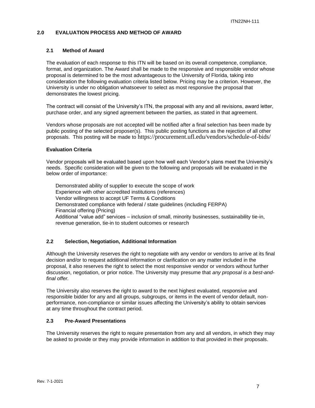## <span id="page-6-0"></span>**2.0 EVALUATION PROCESS AND METHOD OF AWARD**

## <span id="page-6-1"></span>**2.1 Method of Award**

The evaluation of each response to this ITN will be based on its overall competence, compliance, format, and organization. The Award shall be made to the responsive and responsible vendor whose proposal is determined to be the most advantageous to the University of Florida, taking into consideration the following evaluation criteria listed below. Pricing may be a criterion. However, the University is under no obligation whatsoever to select as most responsive the proposal that demonstrates the lowest pricing.

The contract will consist of the University's ITN, the proposal with any and all revisions, award letter, purchase order, and any signed agreement between the parties, as stated in that agreement.

Vendors whose proposals are not accepted will be notified after a final selection has been made by public posting of the selected proposer(s). This public posting functions as the rejection of all other proposals. This posting will be made to https://procurement.ufl.edu/vendors/schedule-of-bids/

#### **Evaluation Criteria**

Vendor proposals will be evaluated based upon how well each Vendor's plans meet the University's needs. Specific consideration will be given to the following and proposals will be evaluated in the below order of importance:

Demonstrated ability of supplier to execute the scope of work Experience with other accredited institutions (references) Vendor willingness to accept UF Terms & Conditions Demonstrated compliance with federal / state guidelines (including FERPA) Financial offering (Pricing) Additional "value add" services – inclusion of small, minority businesses, sustainability tie-in, revenue generation, tie-in to student outcomes or research

#### <span id="page-6-2"></span>**2.2 Selection, Negotiation, Additional Information**

Although the University reserves the right to negotiate with any vendor or vendors to arrive at its final decision and/or to request additional information or clarification on any matter included in the proposal, it also reserves the right to select the most responsive vendor or vendors without further discussion, negotiation, or prior notice. The University may presume that *any proposal is a best-andfinal offer.*

The University also reserves the right to award to the next highest evaluated, responsive and responsible bidder for any and all groups, subgroups, or items in the event of vendor default, nonperformance, non-compliance or similar issues affecting the University's ability to obtain services at any time throughout the contract period.

## <span id="page-6-3"></span>**2.3 Pre-Award Presentations**

The University reserves the right to require presentation from any and all vendors, in which they may be asked to provide or they may provide information in addition to that provided in their proposals.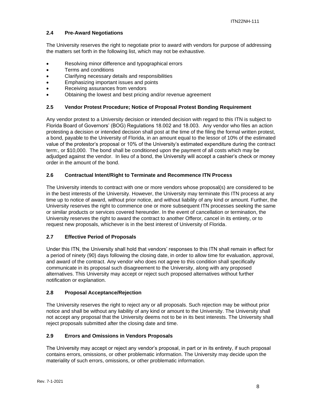## <span id="page-7-0"></span>**2.4 Pre-Award Negotiations**

The University reserves the right to negotiate prior to award with vendors for purpose of addressing the matters set forth in the following list, which may not be exhaustive.

- Resolving minor difference and typographical errors
- Terms and conditions
- Clarifying necessary details and responsibilities
- Emphasizing important issues and points
- Receiving assurances from vendors
- Obtaining the lowest and best pricing and/or revenue agreement

## <span id="page-7-1"></span>**2.5 Vendor Protest Procedure; Notice of Proposal Protest Bonding Requirement**

Any vendor protest to a University decision or intended decision with regard to this ITN is subject to Florida Board of Governors' (BOG) Regulations 18.002 and 18.003. Any vendor who files an action protesting a decision or intended decision shall post at the time of the filing the formal written protest, a bond, payable to the University of Florida, in an amount equal to the lessor of 10% of the estimated value of the protestor's proposal or 10% of the University's estimated expenditure during the contract term:, or \$10,000. The bond shall be conditioned upon the payment of all costs which may be adjudged against the vendor. In lieu of a bond, the University will accept a cashier's check or money order in the amount of the bond.

## <span id="page-7-2"></span>**2.6 Contractual Intent/Right to Terminate and Recommence ITN Process**

The University intends to contract with one or more vendors whose proposal(s) are considered to be in the best interests of the University. However, the University may terminate this ITN process at any time up to notice of award, without prior notice, and without liability of any kind or amount. Further, the University reserves the right to commence one or more subsequent ITN processes seeking the same or similar products or services covered hereunder. In the event of cancellation or termination, the University reserves the right to award the contract to another Offeror, cancel in its entirety, or to request new proposals, whichever is in the best interest of University of Florida.

## <span id="page-7-3"></span>**2.7 Effective Period of Proposals**

Under this ITN, the University shall hold that vendors' responses to this ITN shall remain in effect for a period of ninety (90) days following the closing date, in order to allow time for evaluation, approval, and award of the contract. Any vendor who does not agree to this condition shall specifically communicate in its proposal such disagreement to the University, along with any proposed alternatives. This University may accept or reject such proposed alternatives without further notification or explanation.

#### <span id="page-7-4"></span>**2.8 Proposal Acceptance/Rejection**

The University reserves the right to reject any or all proposals. Such rejection may be without prior notice and shall be without any liability of any kind or amount to the University. The University shall not accept any proposal that the University deems not to be in its best interests. The University shall reject proposals submitted after the closing date and time.

#### <span id="page-7-5"></span>**2.9 Errors and Omissions in Vendors Proposals**

The University may accept or reject any vendor's proposal, in part or in its entirety, if such proposal contains errors, omissions, or other problematic information. The University may decide upon the materiality of such errors, omissions, or other problematic information.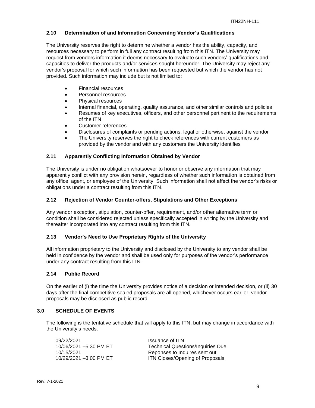## <span id="page-8-0"></span>**2.10 Determination of and Information Concerning Vendor's Qualifications**

The University reserves the right to determine whether a vendor has the ability, capacity, and resources necessary to perform in full any contract resulting from this ITN. The University may request from vendors information it deems necessary to evaluate such vendors' qualifications and capacities to deliver the products and/or services sought hereunder. The University may reject any vendor's proposal for which such information has been requested but which the vendor has not provided. Such information may include but is not limited to:

- Financial resources
- Personnel resources
- Physical resources
- Internal financial, operating, quality assurance, and other similar controls and policies
- Resumes of key executives, officers, and other personnel pertinent to the requirements of the ITN
- Customer references
- Disclosures of complaints or pending actions, legal or otherwise, against the vendor
- The University reserves the right to check references with current customers as provided by the vendor and with any customers the University identifies

## <span id="page-8-1"></span>**2.11 Apparently Conflicting Information Obtained by Vendor**

The University is under no obligation whatsoever to honor or observe any information that may apparently conflict with any provision herein, regardless of whether such information is obtained from any office, agent, or employee of the University. Such information shall not affect the vendor's risks or obligations under a contract resulting from this ITN.

## <span id="page-8-2"></span>**2.12 Rejection of Vendor Counter-offers, Stipulations and Other Exceptions**

Any vendor exception, stipulation, counter-offer, requirement, and/or other alternative term or condition shall be considered rejected unless specifically accepted in writing by the University and thereafter incorporated into any contract resulting from this ITN.

## <span id="page-8-3"></span>**2.13 Vendor's Need to Use Proprietary Rights of the University**

All information proprietary to the University and disclosed by the University to any vendor shall be held in confidence by the vendor and shall be used only for purposes of the vendor's performance under any contract resulting from this ITN.

## <span id="page-8-4"></span>**2.14 Public Record**

On the earlier of (i) the time the University provides notice of a decision or intended decision, or (ii) 30 days after the final competitive sealed proposals are all opened, whichever occurs earlier, vendor proposals may be disclosed as public record.

## <span id="page-8-5"></span>**3.0 SCHEDULE OF EVENTS**

The following is the tentative schedule that will apply to this ITN, but may change in accordance with the University's needs.

| 09/22/2021             | Issuance of ITN                          |
|------------------------|------------------------------------------|
| 10/06/2021 -5:30 PM ET | <b>Technical Questions/Inquiries Due</b> |
| 10/15/2021             | Reponses to Inquires sent out            |
| 10/29/2021 -3:00 PM ET | ITN Closes/Opening of Proposals          |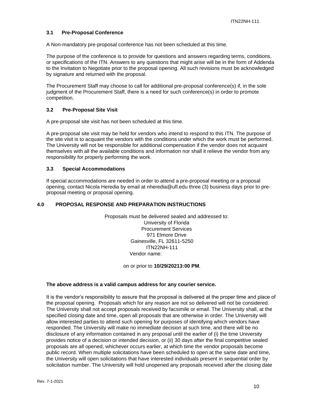## <span id="page-9-0"></span>**3.1 Pre-Proposal Conference**

A Non-mandatory pre-proposal conference has not been scheduled at this time.

The purpose of the conference is to provide for questions and answers regarding terms, conditions, or specifications of the ITN. Answers to any questions that might arise will be in the form of Addenda to the Invitation to Negotiate prior to the proposal opening. All such revisions must be acknowledged by signature and returned with the proposal.

The Procurement Staff may choose to call for additional pre-proposal conference(s) if, in the sole judgment of the Procurement Staff, there is a need for such conference(s) in order to promote competition.

#### <span id="page-9-1"></span>**3.2 Pre-Proposal Site Visit**

A pre-proposal site visit has not been scheduled at this time.

A pre-proposal site visit may be held for vendors who intend to respond to this ITN. The purpose of the site visit is to acquaint the vendors with the conditions under which the work must be performed. The University will not be responsible for additional compensation if the vendor does not acquaint themselves with all the available conditions and information nor shall it relieve the vendor from any responsibility for properly performing the work.

#### <span id="page-9-2"></span>**3.3 Special Accommodations**

If special accommodations are needed in order to attend a pre-proposal meeting or a proposal opening, contact Nicola Heredia by email at nheredia@ufl.edu three (3) business days prior to preproposal meeting or proposal opening.

## <span id="page-9-3"></span>**4.0 PROPOSAL RESPONSE AND PREPARATION INSTRUCTIONS**

Proposals must be delivered sealed and addressed to: University of Florida Procurement Services 971 Elmore Drive Gainesville, FL 32611-5250 ITN22NH-111 Vendor name:

on or prior to **10/29/20213:00 PM**.

#### **The above address is a valid campus address for any courier service.**

It is the vendor's responsibility to assure that the proposal is delivered at the proper time and place of the proposal opening. Proposals which for any reason are not so delivered will not be considered. The University shall not accept proposals received by facsimile or email. The University shall, at the specified closing date and time, open all proposals that are otherwise in order. The University will allow interested parties to attend such opening for purposes of identifying which vendors have responded. The University will make no immediate decision at such time, and there will be no disclosure of any information contained in any proposal until the earlier of (i) the time University provides notice of a decision or intended decision, or (ii) 30 days after the final competitive sealed proposals are all opened, whichever occurs earlier, at which time the vendor proposals become public record. When multiple solicitations have been scheduled to open at the same date and time, the University will open solicitations that have interested individuals present in sequential order by solicitation number. The University will hold unopened any proposals received after the closing date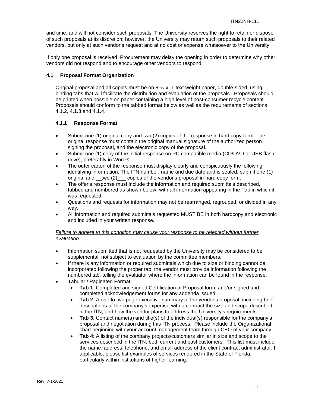and time, and will not consider such proposals. The University reserves the right to retain or dispose of such proposals at its discretion; however, the University may return such proposals to their related vendors, but only at such vendor's request and at no cost or expense whatsoever to the University.

If only one proposal is received, Procurement may delay the opening in order to determine why other vendors did not respond and to encourage other vendors to respond.

#### <span id="page-10-0"></span>**4.1 Proposal Format Organization**

Original proposal and all copies must be on 8-½ x11 text weight paper, double-sided, using binding tabs that will facilitate the distribution and evaluation of the proposals. Proposals should be printed when possible on paper containing a high level of post-consumer recycle content. Proposals should conform to the tabbed format below as well as the requirements of sections 4.1.2, 4.1.3 and 4.1.4.

## <span id="page-10-1"></span>**4.1.1 Response Format**

- Submit one (1) original copy and two (2) copies of the response in hard copy form. The original response must contain the original manual signature of the authorized person signing the proposal, and the electronic copy of the proposal.
- Submit one (1) copy of the initial response on PC compatible media (CD/DVD or USB flash drive), preferably in Word®.
- The outer carton of the response must display clearly and conspicuously the following identifying information, The ITN number, name and due date and is sealed; submit one (1) original and \_\_two (2) copies of the vendor's proposal in hard copy form.
- The offer's response must include the information and required submittals described, tabbed and numbered as shown below, with all information appearing in the Tab in which it was requested.
- Questions and requests for information may not be rearranged, regrouped, or divided in any way.
- All information and required submittals requested MUST BE in both hardcopy and electronic and included in your written response.

## *Failure to adhere to this condition may cause your response to be rejected without further evaluation.*

- Information submitted that is not requested by the University may be considered to be supplemental, not subject to evaluation by the committee members.
- If there is any information or required submittals which due to size or binding cannot be incorporated following the proper tab, the vendor must provide information following the numbered tab, telling the evaluator where the information can be found in the response.
- Tabular / Paginated Format:
	- **Tab 1**: Completed and signed Certification of Proposal form, and/or signed and completed acknowledgement forms for any addenda issued.
	- **Tab 2**: A one to two page executive summary of the vendor's proposal, including brief descriptions of the company's expertise with a contract the size and scope described in the ITN, and how the vendor plans to address the University's requirements.
	- **Tab 3**: Contact name(s) and title(s) of the individual(s) responsible for the company's proposal and negotiation during this ITN process. Please include the Organizational chart beginning with your account management team through CEO of your company
	- **Tab 4:** A listing of the company projects/customers similar in size and scope to the services described in the ITN, both current and past customers. This list must include the name, address, telephone, and email address of the client contract administrator. If applicable, please list examples of services rendered in the State of Florida, particularly within institutions of higher learning.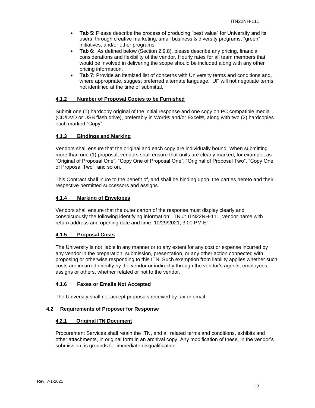- **Tab 5:** Please describe the process of producing "best value" for University and its users, through creative marketing, small business & diversity programs, "green" initiatives, and/or other programs.
- **Tab 6:** As defined below (Section 2.9.8), please describe any pricing, financial considerations and flexibility of the vendor. Hourly rates for all team members that would be involved in delivering the scope should be included along with any other pricing information.
- **Tab 7:** Provide an itemized list of concerns with University terms and conditions and, where appropriate, suggest preferred alternate language. UF will not negotiate terms not identified at the time of submittal.

## <span id="page-11-0"></span>**4.1.2 Number of Proposal Copies to be Furnished**

Submit one (1) hardcopy original of the initial response and one copy on PC compatible media (CD/DVD or USB flash drive), preferably in Word® and/or Excel®, along with two (2) hardcopies each marked "Copy".

#### <span id="page-11-1"></span>**4.1.3 Bindings and Marking**

Vendors shall ensure that the original and each copy are individually bound. When submitting more than one (1) proposal, vendors shall ensure that units are clearly marked; for example, as "Original of Proposal One", "Copy One of Proposal One", "Original of Proposal Two", "Copy One of Proposal Two", and so on.

This Contract shall inure to the benefit of, and shall be binding upon, the parties hereto and their respective permitted successors and assigns.

## <span id="page-11-2"></span>**4.1.4 Marking of Envelopes**

Vendors shall ensure that the outer carton of the response must display clearly and conspicuously the following identifying information: ITN #: ITN22NH-111, vendor name with return address and opening date and time: 10/29/2021; 3:00 PM ET.

## <span id="page-11-3"></span>**4.1.5 Proposal Costs**

The University is not liable in any manner or to any extent for any cost or expense incurred by any vendor in the preparation, submission, presentation, or any other action connected with proposing or otherwise responding to this ITN. Such exemption from liability applies whether such costs are incurred directly by the vendor or indirectly through the vendor's agents, employees, assigns or others, whether related or not to the vendor.

#### <span id="page-11-4"></span>**4.1.6 Faxes or Emails Not Accepted**

The University shall not accept proposals received by fax or email.

#### <span id="page-11-6"></span><span id="page-11-5"></span>**4.2 Requirements of Proposer for Response**

#### **4.2.1 Original ITN Document**

Procurement Services shall retain the ITN, and all related terms and conditions, exhibits and other attachments, in original form in an archival copy. Any modification of these, in the vendor's submission, is grounds for immediate disqualification.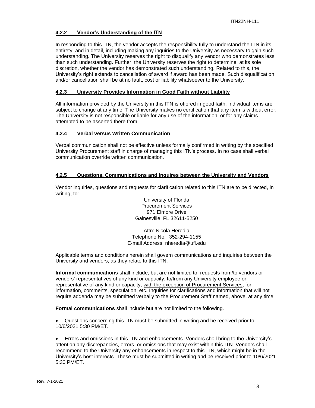## <span id="page-12-0"></span>**4.2.2 Vendor's Understanding of the ITN**

In responding to this ITN, the vendor accepts the responsibility fully to understand the ITN in its entirety, and in detail, including making any inquiries to the University as necessary to gain such understanding. The University reserves the right to disqualify any vendor who demonstrates less than such understanding. Further, the University reserves the right to determine, at its sole discretion, whether the vendor has demonstrated such understanding. Related to this, the University's right extends to cancellation of award if award has been made. Such disqualification and/or cancellation shall be at no fault, cost or liability whatsoever to the University.

## <span id="page-12-1"></span>**4.2.3 University Provides Information in Good Faith without Liability**

All information provided by the University in this ITN is offered in good faith. Individual items are subject to change at any time. The University makes no certification that any item is without error. The University is not responsible or liable for any use of the information, or for any claims attempted to be asserted there from.

## <span id="page-12-2"></span>**4.2.4 Verbal versus Written Communication**

Verbal communication shall not be effective unless formally confirmed in writing by the specified University Procurement staff in charge of managing this ITN's process. In no case shall verbal communication override written communication.

## <span id="page-12-3"></span>**4.2.5 Questions, Communications and Inquires between the University and Vendors**

Vendor inquiries, questions and requests for clarification related to this ITN are to be directed, in writing, to:

> University of Florida Procurement Services 971 Elmore Drive Gainesville, FL 32611-5250

Attn: Nicola Heredia Telephone No: 352-294-1155 E-mail Address: nheredia@ufl.edu

Applicable terms and conditions herein shall govern communications and inquiries between the University and vendors, as they relate to this ITN.

**Informal communications** shall include, but are not limited to, requests from/to vendors or vendors' representatives of any kind or capacity, to/from any University employee or representative of any kind or capacity, with the exception of Procurement Services, for information, comments, speculation, etc. Inquiries for clarifications and information that will not require addenda may be submitted verbally to the Procurement Staff named, above, at any time.

**Formal communications** shall include but are not limited to the following.

• Questions concerning this ITN must be submitted in writing and be received prior to 10/6/2021 5:30 PM/ET.

• Errors and omissions in this ITN and enhancements. Vendors shall bring to the University's attention any discrepancies, errors, or omissions that may exist within this ITN. Vendors shall recommend to the University any enhancements in respect to this ITN, which might be in the University's best interests. These must be submitted in writing and be received prior to 10/6/2021 5:30 PM/ET.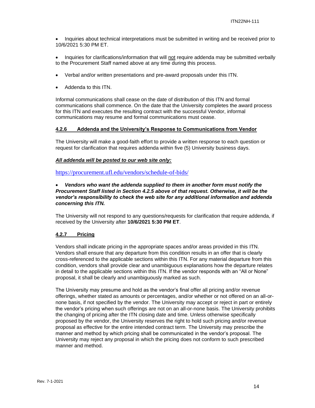- Inquiries about technical interpretations must be submitted in writing and be received prior to 10/6/2021 5:30 PM ET.
- Inquiries for clarifications/information that will not require addenda may be submitted verbally to the Procurement Staff named above at any time during this process.
- Verbal and/or written presentations and pre-award proposals under this ITN.
- Addenda to this ITN.

Informal communications shall cease on the date of distribution of this ITN and formal communications shall commence. On the date that the University completes the award process for this ITN and executes the resulting contract with the successful Vendor, informal communications may resume and formal communications must cease.

#### <span id="page-13-0"></span>**4.2.6 Addenda and the University's Response to Communications from Vendor**

The University will make a good-faith effort to provide a written response to each question or request for clarification that requires addenda within five (5) University business days.

## *All addenda will be posted to our web site only:*

<https://procurement.ufl.edu/vendors/schedule-of-bids/>

## • *Vendors who want the addenda supplied to them in another form must notify the Procurement Staff listed in Section 4.2.5 above of that request. Otherwise, it will be the vendor's responsibility to check the web site for any additional information and addenda concerning this ITN.*

The University will not respond to any questions/requests for clarification that require addenda, if received by the University after **10/6/2021 5:30 PM ET**.

## <span id="page-13-1"></span>**4.2.7 Pricing**

Vendors shall indicate pricing in the appropriate spaces and/or areas provided in this ITN. Vendors shall ensure that any departure from this condition results in an offer that is clearly cross-referenced to the applicable sections within this ITN. For any material departure from this condition, vendors shall provide clear and unambiguous explanations how the departure relates in detail to the applicable sections within this ITN. If the vendor responds with an "All or None" proposal, it shall be clearly and unambiguously marked as such.

The University may presume and hold as the vendor's final offer all pricing and/or revenue offerings, whether stated as amounts or percentages, and/or whether or not offered on an all-ornone basis, if not specified by the vendor. The University may accept or reject in part or entirely the vendor's pricing when such offerings are not on an all-or-none basis. The University prohibits the changing of pricing after the ITN closing date and time. Unless otherwise specifically proposed by the vendor, the University reserves the right to hold such pricing and/or revenue proposal as effective for the entire intended contract term. The University may prescribe the manner and method by which pricing shall be communicated in the vendor's proposal. The University may reject any proposal in which the pricing does not conform to such prescribed manner and method.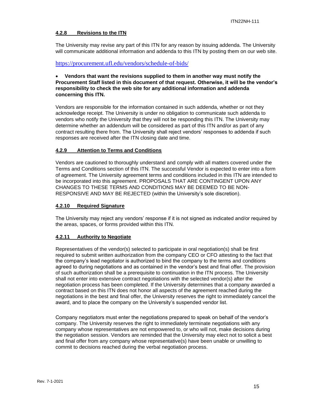## <span id="page-14-0"></span>**4.2.8 Revisions to the ITN**

The University may revise any part of this ITN for any reason by issuing addenda. The University will communicate additional information and addenda to this ITN by posting them on our web site.

<https://procurement.ufl.edu/vendors/schedule-of-bids/>

## • **Vendors that want the revisions supplied to them in another way must notify the Procurement Staff listed in this document of that request. Otherwise, it will be the vendor's responsibility to check the web site for any additional information and addenda concerning this ITN.**

Vendors are responsible for the information contained in such addenda, whether or not they acknowledge receipt. The University is under no obligation to communicate such addenda to vendors who notify the University that they will not be responding this ITN. The University may determine whether an addendum will be considered as part of this ITN and/or as part of any contract resulting there from. The University shall reject vendors' responses to addenda if such responses are received after the ITN closing date and time.

## <span id="page-14-1"></span>**4.2.9 Attention to Terms and Conditions**

Vendors are cautioned to thoroughly understand and comply with all matters covered under the Terms and Conditions section of this ITN. The successful Vendor is expected to enter into a form of agreement. The University agreement terms and conditions included in this ITN are intended to be incorporated into this agreement. PROPOSALS THAT ARE CONTINGENT UPON ANY CHANGES TO THESE TERMS AND CONDITIONS MAY BE DEEMED TO BE NON-RESPONSIVE AND MAY BE REJECTED (within the University's sole discretion).

#### <span id="page-14-2"></span>**4.2.10 Required Signature**

The University may reject any vendors' response if it is not signed as indicated and/or required by the areas, spaces, or forms provided within this ITN.

#### <span id="page-14-3"></span>**4.2.11 Authority to Negotiate**

Representatives of the vendor(s) selected to participate in oral negotiation(s) shall be first required to submit written authorization from the company CEO or CFO attesting to the fact that the company's lead negotiator is authorized to bind the company to the terms and conditions agreed to during negotiations and as contained in the vendor's best and final offer. The provision of such authorization shall be a prerequisite to continuation in the ITN process. The University shall not enter into extensive contract negotiations with the selected vendor(s) after the negotiation process has been completed. If the University determines that a company awarded a contract based on this ITN does not honor all aspects of the agreement reached during the negotiations in the best and final offer, the University reserves the right to immediately cancel the award, and to place the company on the University's suspended vendor list.

Company negotiators must enter the negotiations prepared to speak on behalf of the vendor's company. The University reserves the right to immediately terminate negotiations with any company whose representatives are not empowered to, or who will not, make decisions during the negotiation session. Vendors are reminded that the University may elect not to solicit a best and final offer from any company whose representative(s) have been unable or unwilling to commit to decisions reached during the verbal negotiation process.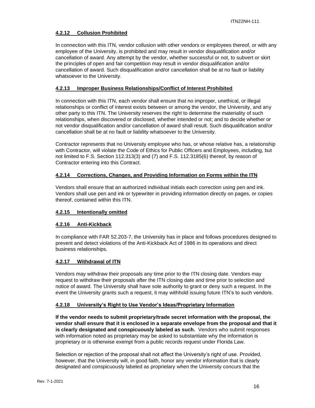## <span id="page-15-0"></span>**4.2.12 Collusion Prohibited**

In connection with this ITN, vendor collusion with other vendors or employees thereof, or with any employee of the University, is prohibited and may result in vendor disqualification and/or cancellation of award. Any attempt by the vendor, whether successful or not, to subvert or skirt the principles of open and fair competition may result in vendor disqualification and/or cancellation of award. Such disqualification and/or cancellation shall be at no fault or liability whatsoever to the University.

## <span id="page-15-1"></span>**4.2.13 Improper Business Relationships/Conflict of Interest Prohibited**

In connection with this ITN, each vendor shall ensure that no improper, unethical, or illegal relationships or conflict of interest exists between or among the vendor, the University, and any other party to this ITN. The University reserves the right to determine the materiality of such relationships, when discovered or disclosed, whether intended or not; and to decide whether or not vendor disqualification and/or cancellation of award shall result. Such disqualification and/or cancellation shall be at no fault or liability whatsoever to the University.

Contractor represents that no University employee who has, or whose relative has, a relationship with Contractor, will violate the Code of Ethics for Public Officers and Employees, including, but not limited to F.S. Section 112.313(3) and (7) and F.S. 112.3185(6) thereof, by reason of Contractor entering into this Contract.

## <span id="page-15-2"></span>**4.2.14 Corrections, Changes, and Providing Information on Forms within the ITN**

Vendors shall ensure that an authorized individual initials each correction using pen and ink. Vendors shall use pen and ink or typewriter in providing information directly on pages, or copies thereof, contained within this ITN.

## <span id="page-15-3"></span>**4.2.15 Intentionally omitted**

## <span id="page-15-4"></span>**4.2.16 Anti-Kickback**

In compliance with FAR 52.203-7, the University has in place and follows procedures designed to prevent and detect violations of the Anti-Kickback Act of 1986 in its operations and direct business relationships.

## <span id="page-15-5"></span>**4.2.17 Withdrawal of ITN**

Vendors may withdraw their proposals any time prior to the ITN closing date. Vendors may request to withdraw their proposals after the ITN closing date and time prior to selection and notice of award. The University shall have sole authority to grant or deny such a request. In the event the University grants such a request, it may withhold issuing future ITN's to such vendors.

#### <span id="page-15-6"></span>**4.2.18 University's Right to Use Vendor's Ideas/Proprietary Information**

**If the vendor needs to submit proprietary/trade secret information with the proposal, the vendor shall ensure that it is enclosed in a separate envelope from the proposal and that it is clearly designated and conspicuously labeled as such.** Vendors who submit responses with information noted as proprietary may be asked to substantiate why the information is proprietary or is otherwise exempt from a public records request under Florida Law.

Selection or rejection of the proposal shall not affect the University's right of use. Provided, however, that the University will, in good faith, honor any vendor information that is clearly designated and conspicuously labeled as proprietary when the University concurs that the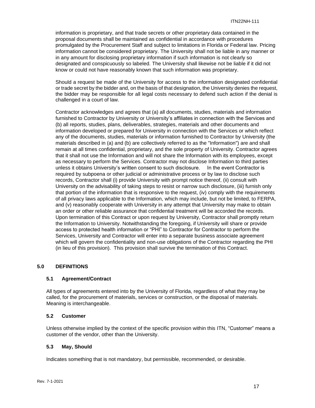information is proprietary, and that trade secrets or other proprietary data contained in the proposal documents shall be maintained as confidential in accordance with procedures promulgated by the Procurement Staff and subject to limitations in Florida or Federal law. Pricing information cannot be considered proprietary. The University shall not be liable in any manner or in any amount for disclosing proprietary information if such information is not clearly so designated and conspicuously so labeled. The University shall likewise not be liable if it did not know or could not have reasonably known that such information was proprietary.

Should a request be made of the University for access to the information designated confidential or trade secret by the bidder and, on the basis of that designation, the University denies the request, the bidder may be responsible for all legal costs necessary to defend such action if the denial is challenged in a court of law.

Contractor acknowledges and agrees that (a) all documents, studies, materials and information furnished to Contractor by University or University's affiliates in connection with the Services and (b) all reports, studies, plans, deliverables, strategies, materials and other documents and information developed or prepared for University in connection with the Services or which reflect any of the documents, studies, materials or information furnished to Contractor by University (the materials described in (a) and (b) are collectively referred to as the "Information") are and shall remain at all times confidential, proprietary, and the sole property of University. Contractor agrees that it shall not use the Information and will not share the Information with its employees, except as necessary to perform the Services. Contractor may not disclose Information to third parties unless it obtains University's written consent to such disclosure. In the event Contractor is required by subpoena or other judicial or administrative process or by law to disclose such records, Contractor shall (i) provide University with prompt notice thereof, (ii) consult with University on the advisability of taking steps to resist or narrow such disclosure, (iii) furnish only that portion of the information that is responsive to the request, (iv) comply with the requirements of all privacy laws applicable to the Information, which may include, but not be limited, to FERPA, and (v) reasonably cooperate with University in any attempt that University may make to obtain an order or other reliable assurance that confidential treatment will be accorded the records. Upon termination of this Contract or upon request by University, Contractor shall promptly return the Information to University. Notwithstanding the foregoing, if University will share or provide access to protected health information or "PHI" to Contractor for Contractor to perform the Services, University and Contractor will enter into a separate business associate agreement which will govern the confidentiality and non-use obligations of the Contractor regarding the PHI (in lieu of this provision). This provision shall survive the termination of this Contract.

## <span id="page-16-0"></span>**5.0 DEFINITIONS**

#### <span id="page-16-1"></span>**5.1 Agreement/Contract**

All types of agreements entered into by the University of Florida, regardless of what they may be called, for the procurement of materials, services or construction, or the disposal of materials. Meaning is interchangeable.

#### <span id="page-16-2"></span>**5.2 Customer**

Unless otherwise implied by the context of the specific provision within this ITN, "Customer" means a customer of the vendor, other than the University.

#### <span id="page-16-3"></span>**5.3 May, Should**

Indicates something that is not mandatory, but permissible, recommended, or desirable.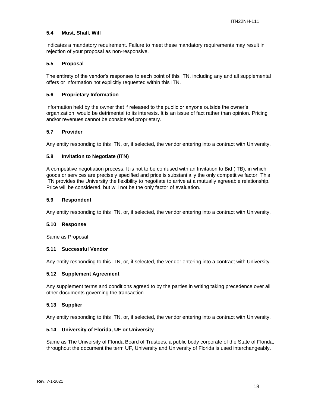#### <span id="page-17-0"></span>**5.4 Must, Shall, Will**

Indicates a mandatory requirement. Failure to meet these mandatory requirements may result in rejection of your proposal as non-responsive.

#### <span id="page-17-1"></span>**5.5 Proposal**

The entirety of the vendor's responses to each point of this ITN, including any and all supplemental offers or information not explicitly requested within this ITN.

#### <span id="page-17-2"></span>**5.6 Proprietary Information**

Information held by the owner that if released to the public or anyone outside the owner's organization, would be detrimental to its interests. It is an issue of fact rather than opinion. Pricing and/or revenues cannot be considered proprietary.

#### <span id="page-17-3"></span>**5.7 Provider**

Any entity responding to this ITN, or, if selected, the vendor entering into a contract with University.

#### <span id="page-17-4"></span>**5.8 Invitation to Negotiate (ITN)**

A competitive negotiation process. It is not to be confused with an Invitation to Bid (ITB), in which goods or services are precisely specified and price is substantially the only competitive factor. This ITN provides the University the flexibility to negotiate to arrive at a mutually agreeable relationship. Price will be considered, but will not be the only factor of evaluation.

#### <span id="page-17-5"></span>**5.9 Respondent**

Any entity responding to this ITN, or, if selected, the vendor entering into a contract with University.

#### <span id="page-17-6"></span>**5.10 Response**

Same as Proposal

#### <span id="page-17-7"></span>**5.11 Successful Vendor**

Any entity responding to this ITN, or, if selected, the vendor entering into a contract with University.

#### <span id="page-17-8"></span>**5.12 Supplement Agreement**

Any supplement terms and conditions agreed to by the parties in writing taking precedence over all other documents governing the transaction.

#### <span id="page-17-9"></span>**5.13 Supplier**

Any entity responding to this ITN, or, if selected, the vendor entering into a contract with University.

#### <span id="page-17-10"></span>**5.14 University of Florida, UF or University**

Same as The University of Florida Board of Trustees, a public body corporate of the State of Florida; throughout the document the term UF, University and University of Florida is used interchangeably.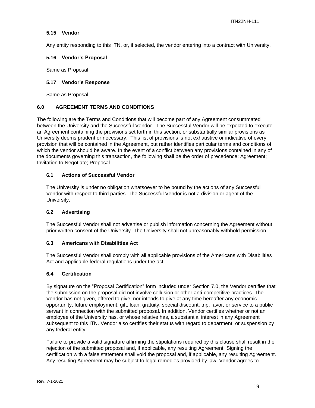## <span id="page-18-0"></span>**5.15 Vendor**

Any entity responding to this ITN, or, if selected, the vendor entering into a contract with University.

#### <span id="page-18-1"></span>**5.16 Vendor's Proposal**

Same as Proposal

#### <span id="page-18-2"></span>**5.17 Vendor's Response**

Same as Proposal

## <span id="page-18-3"></span>**6.0 AGREEMENT TERMS AND CONDITIONS**

The following are the Terms and Conditions that will become part of any Agreement consummated between the University and the Successful Vendor. The Successful Vendor will be expected to execute an Agreement containing the provisions set forth in this section, or substantially similar provisions as University deems prudent or necessary. This list of provisions is not exhaustive or indicative of every provision that will be contained in the Agreement, but rather identifies particular terms and conditions of which the vendor should be aware. In the event of a conflict between any provisions contained in any of the documents governing this transaction, the following shall be the order of precedence: Agreement; Invitation to Negotiate; Proposal.

## <span id="page-18-4"></span>**6.1 Actions of Successful Vendor**

The University is under no obligation whatsoever to be bound by the actions of any Successful Vendor with respect to third parties. The Successful Vendor is not a division or agent of the University.

#### <span id="page-18-5"></span>**6.2 Advertising**

The Successful Vendor shall not advertise or publish information concerning the Agreement without prior written consent of the University. The University shall not unreasonably withhold permission.

#### <span id="page-18-6"></span>**6.3 Americans with Disabilities Act**

The Successful Vendor shall comply with all applicable provisions of the Americans with Disabilities Act and applicable federal regulations under the act.

#### <span id="page-18-7"></span>**6.4 Certification**

By signature on the "Proposal Certification" form included under Section 7.0, the Vendor certifies that the submission on the proposal did not involve collusion or other anti-competitive practices. The Vendor has not given, offered to give, nor intends to give at any time hereafter any economic opportunity, future employment, gift, loan, gratuity, special discount, trip, favor, or service to a public servant in connection with the submitted proposal. In addition, Vendor certifies whether or not an employee of the University has, or whose relative has, a substantial interest in any Agreement subsequent to this ITN. Vendor also certifies their status with regard to debarment, or suspension by any federal entity.

Failure to provide a valid signature affirming the stipulations required by this clause shall result in the rejection of the submitted proposal and, if applicable, any resulting Agreement. Signing the certification with a false statement shall void the proposal and, if applicable, any resulting Agreement. Any resulting Agreement may be subject to legal remedies provided by law. Vendor agrees to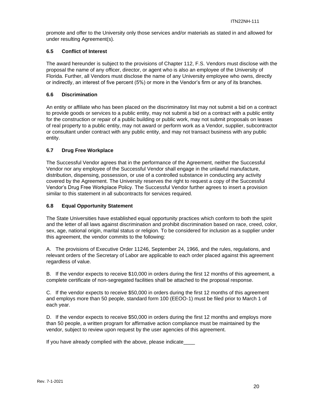promote and offer to the University only those services and/or materials as stated in and allowed for under resulting Agreement(s).

## <span id="page-19-0"></span>**6.5 Conflict of Interest**

The award hereunder is subject to the provisions of Chapter 112, F.S. Vendors must disclose with the proposal the name of any officer, director, or agent who is also an employee of the University of Florida. Further, all Vendors must disclose the name of any University employee who owns, directly or indirectly, an interest of five percent (5%) or more in the Vendor's firm or any of its branches.

## <span id="page-19-1"></span>**6.6 Discrimination**

An entity or affiliate who has been placed on the discriminatory list may not submit a bid on a contract to provide goods or services to a public entity, may not submit a bid on a contract with a public entity for the construction or repair of a public building or public work, may not submit proposals on leases of real property to a public entity, may not award or perform work as a Vendor, supplier, subcontractor or consultant under contract with any public entity, and may not transact business with any public entity.

## <span id="page-19-2"></span>**6.7 Drug Free Workplace**

The Successful Vendor agrees that in the performance of the Agreement, neither the Successful Vendor nor any employee of the Successful Vendor shall engage in the unlawful manufacture, distribution, dispensing, possession, or use of a controlled substance in conducting any activity covered by the Agreement. The University reserves the right to request a copy of the Successful Vendor's Drug Free Workplace Policy. The Successful Vendor further agrees to insert a provision similar to this statement in all subcontracts for services required.

## <span id="page-19-3"></span>**6.8 Equal Opportunity Statement**

The State Universities have established equal opportunity practices which conform to both the spirit and the letter of all laws against discrimination and prohibit discrimination based on race, creed, color, sex, age, national origin, marital status or religion. To be considered for inclusion as a supplier under this agreement, the vendor commits to the following:

A. The provisions of Executive Order 11246, September 24, 1966, and the rules, regulations, and relevant orders of the Secretary of Labor are applicable to each order placed against this agreement regardless of value.

B. If the vendor expects to receive \$10,000 in orders during the first 12 months of this agreement, a complete certificate of non-segregated facilities shall be attached to the proposal response.

C. If the vendor expects to receive \$50,000 in orders during the first 12 months of this agreement and employs more than 50 people, standard form 100 (EEOO-1) must be filed prior to March 1 of each year.

D. If the vendor expects to receive \$50,000 in orders during the first 12 months and employs more than 50 people, a written program for affirmative action compliance must be maintained by the vendor, subject to review upon request by the user agencies of this agreement.

If you have already complied with the above, please indicate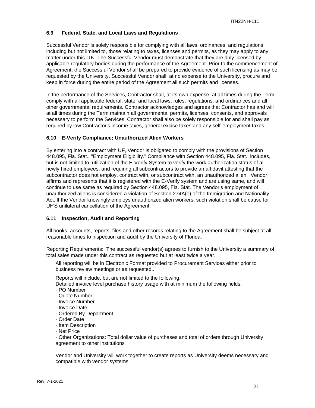## <span id="page-20-0"></span>**6.9 Federal, State, and Local Laws and Regulations**

Successful Vendor is solely responsible for complying with all laws, ordinances, and regulations including but not limited to, those relating to taxes, licenses and permits, as they may apply to any matter under this ITN. The Successful Vendor must demonstrate that they are duly licensed by applicable regulatory bodies during the performance of the Agreement. Prior to the commencement of Agreement, the Successful Vendor shall be prepared to provide evidence of such licensing as may be requested by the University. Successful Vendor shall, at no expense to the University, procure and keep in force during the entire period of the Agreement all such permits and licenses.

In the performance of the Services, Contractor shall, at its own expense, at all times during the Term, comply with all applicable federal, state, and local laws, rules, regulations, and ordinances and all other governmental requirements. Contractor acknowledges and agrees that Contractor has and will at all times during the Term maintain all governmental permits, licenses, consents, and approvals necessary to perform the Services. Contractor shall also be solely responsible for and shall pay as required by law Contractor's income taxes, general excise taxes and any self-employment taxes.

## <span id="page-20-1"></span>**6.10 E-Verify Compliance; Unauthorized Alien Workers**

By entering into a contract with UF, Vendor is obligated to comply with the provisions of Section 448.095, Fla. Stat., "Employment Eligibility." Compliance with Section 448.095, Fla. Stat., includes, but is not limited to, utilization of the E-Verify System to verify the work authorization status of all newly hired employees, and requiring all subcontractors to provide an affidavit attesting that the subcontractor does not employ, contract with, or subcontract with, an unauthorized alien. Vendor affirms and represents that it is registered with the E-Verify system and are using same, and will continue to use same as required by Section 448.095, Fla. Stat. The Vendor's employment of unauthorized aliens is considered a violation of Section 274A(e) of the Immigration and Nationality Act. If the Vendor knowingly employs unauthorized alien workers, such violation shall be cause for UF'S unilateral cancellation of the Agreement.

#### <span id="page-20-2"></span>**6.11 Inspection, Audit and Reporting**

All books, accounts, reports, files and other records relating to the Agreement shall be subject at all reasonable times to inspection and audit by the University of Florida.

Reporting Requirements: The successful vendor(s) agrees to furnish to the University a summary of total sales made under this contract as requested but at least twice a year.

All reporting will be in Electronic Format provided to Procurement Services either prior to business review meetings or as requested..

Reports will include, but are not limited to the following.

Detailed invoice level purchase history usage with at minimum the following fields:

- · PO Number
- · Quote Number
- · Invoice Number
- · Invoice Date
- · Ordered By Department
- · Order Date
- · Item Description
- · Net Price

· Other Organizations: Total dollar value of purchases and total of orders through University agreement to other institutions

Vendor and University will work together to create reports as University deems necessary and compatible with vendor systems.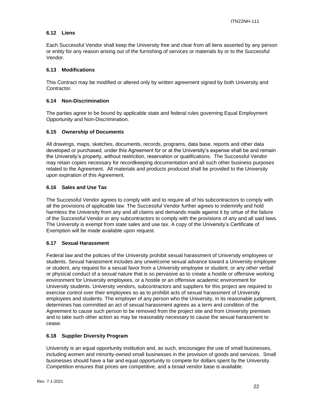## <span id="page-21-0"></span>**6.12 Liens**

Each Successful Vendor shall keep the University free and clear from all liens asserted by any person or entity for any reason arising out of the furnishing of services or materials by or to the Successful Vendor.

## <span id="page-21-1"></span>**6.13 Modifications**

This Contract may be modified or altered only by written agreement signed by both University and Contractor.

## <span id="page-21-2"></span>**6.14 Non-Discrimination**

The parties agree to be bound by applicable state and federal rules governing Equal Employment Opportunity and Non-Discrimination.

## <span id="page-21-3"></span>**6.15 Ownership of Documents**

All drawings, maps, sketches, documents, records, programs, data base, reports and other data developed or purchased, under this Agreement for or at the University's expense shall be and remain the University's property, without restriction, reservation or qualifications. The Successful Vendor may retain copies necessary for recordkeeping documentation and all such other business purposes related to the Agreement. All materials and products produced shall be provided to the University upon expiration of this Agreement.

## <span id="page-21-4"></span>**6.16 Sales and Use Tax**

The Successful Vendor agrees to comply with and to require all of his subcontractors to comply with all the provisions of applicable law. The Successful Vendor further agrees to indemnify and hold harmless the University from any and all claims and demands made against it by virtue of the failure of the Successful Vendor or any subcontractors to comply with the provisions of any and all said laws. The University is exempt from state sales and use tax. A copy of the University's Certificate of Exemption will be made available upon request.

## <span id="page-21-5"></span>**6.17 Sexual Harassment**

Federal law and the policies of the University prohibit sexual harassment of University employees or students. Sexual harassment includes any unwelcome sexual advance toward a University employee or student, any request for a sexual favor from a University employee or student, or any other verbal or physical conduct of a sexual nature that is so pervasive as to create a hostile or offensive working environment for University employees, or a hostile or an offensive academic environment for University students. University vendors, subcontractors and suppliers for this project are required to exercise control over their employees so as to prohibit acts of sexual harassment of University employees and students. The employer of any person who the University, in its reasonable judgment, determines has committed an act of sexual harassment agrees as a term and condition of the Agreement to cause such person to be removed from the project site and from University premises and to take such other action as may be reasonably necessary to cause the sexual harassment to cease.

## <span id="page-21-6"></span>**6.18 Supplier Diversity Program**

University is an equal opportunity institution and, as such, encourages the use of small businesses, including women and minority-owned small businesses in the provision of goods and services. Small businesses should have a fair and equal opportunity to compete for dollars spent by the University. Competition ensures that prices are competitive, and a broad vendor base is available.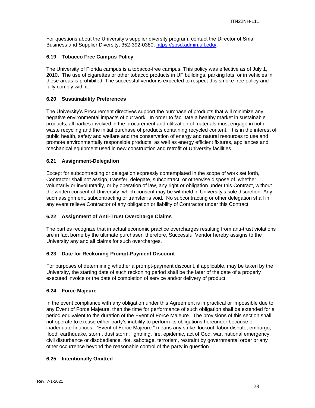For questions about the University's supplier diversity program, contact the Director of Small Business and Supplier Diversity, 352-392-0380, [https://sbsd.admin.ufl.edu/.](https://sbsd.admin.ufl.edu/)

## <span id="page-22-0"></span>**6.19 Tobacco Free Campus Policy**

The University of Florida campus is a tobacco-free campus. This policy was effective as of July 1, 2010. The use of cigarettes or other tobacco products in UF buildings, parking lots, or in vehicles in these areas is prohibited. The successful vendor is expected to respect this smoke free policy and fully comply with it.

## <span id="page-22-1"></span>**6.20 Sustainability Preferences**

The University's Procurement directives support the purchase of products that will minimize any negative environmental impacts of our work. In order to facilitate a healthy market in sustainable products, all parties involved in the procurement and utilization of materials must engage in both waste recycling and the initial purchase of products containing recycled content. It is in the interest of public health, safety and welfare and the conservation of energy and natural resources to use and promote environmentally responsible products, as well as energy efficient fixtures, appliances and mechanical equipment used in new construction and retrofit of University facilities.

## <span id="page-22-2"></span>**6.21 Assignment-Delegation**

Except for subcontracting or delegation expressly contemplated in the scope of work set forth, Contractor shall not assign, transfer, delegate, subcontract, or otherwise dispose of, whether voluntarily or involuntarily, or by operation of law, any right or obligation under this Contract, without the written consent of University, which consent may be withheld in University's sole discretion. Any such assignment, subcontracting or transfer is void. No subcontracting or other delegation shall in any event relieve Contractor of any obligation or liability of Contractor under this Contract

## <span id="page-22-3"></span>**6.22 Assignment of Anti-Trust Overcharge Claims**

The parties recognize that in actual economic practice overcharges resulting from anti-trust violations are in fact borne by the ultimate purchaser; therefore, Successful Vendor hereby assigns to the University any and all claims for such overcharges.

#### <span id="page-22-4"></span>**6.23 Date for Reckoning Prompt-Payment Discount**

For purposes of determining whether a prompt-payment discount, if applicable, may be taken by the University, the starting date of such reckoning period shall be the later of the date of a properly executed invoice or the date of completion of service and/or delivery of product.

#### <span id="page-22-5"></span>**6.24 Force Majeure**

In the event compliance with any obligation under this Agreement is impractical or impossible due to any Event of Force Majeure, then the time for performance of such obligation shall be extended for a period equivalent to the duration of the Event of Force Majeure. The provisions of this section shall not operate to excuse either party's inability to perform its obligations hereunder because of inadequate finances. "Event of Force Majeure:" means any strike, lockout, labor dispute, embargo, flood, earthquake, storm, dust storm, lightning, fire, epidemic, act of God, war, national emergency, civil disturbance or disobedience, riot, sabotage, terrorism, restraint by governmental order or any other occurrence beyond the reasonable control of the party in question.

#### <span id="page-22-6"></span>**6.25 Intentionally Omitted**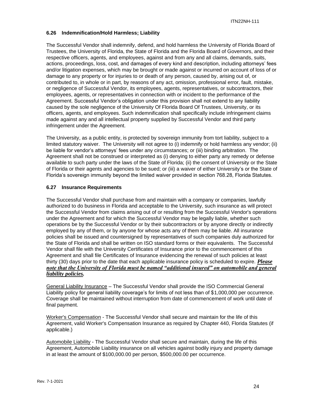## <span id="page-23-0"></span>**6.26 Indemnification/Hold Harmless; Liability**

The Successful Vendor shall indemnify, defend, and hold harmless the University of Florida Board of Trustees, the University of Florida, the State of Florida and the Florida Board of Governors, and their respective officers, agents, and employees, against and from any and all claims, demands, suits, actions, proceedings, loss, cost, and damages of every kind and description, including attorneys' fees and/or litigation expenses, which may be brought or made against or incurred on account of loss of or damage to any property or for injuries to or death of any person, caused by, arising out of, or contributed to, in whole or in part, by reasons of any act, omission, professional error, fault, mistake, or negligence of Successful Vendor, its employees, agents, representatives, or subcontractors, their employees, agents, or representatives in connection with or incident to the performance of the Agreement. Successful Vendor's obligation under this provision shall not extend to any liability caused by the sole negligence of the University Of Florida Board Of Trustees, University, or its officers, agents, and employees. Such indemnification shall specifically include infringement claims made against any and all intellectual property supplied by Successful Vendor and third party infringement under the Agreement.

The University, as a public entity, is protected by sovereign immunity from tort liability, subject to a limited statutory waiver. The University will not agree to (i) indemnify or hold harmless any vendor; (ii) be liable for vendor's attorneys' fees under any circumstances; or (iii) binding arbitration. The Agreement shall not be construed or interpreted as (i) denying to either party any remedy or defense available to such party under the laws of the State of Florida; (ii) the consent of University or the State of Florida or their agents and agencies to be sued; or (iii) a waiver of either University's or the State of Florida's sovereign immunity beyond the limited waiver provided in section 768.28, Florida Statutes.

## <span id="page-23-1"></span>**6.27 Insurance Requirements**

The Successful Vendor shall purchase from and maintain with a company or companies, lawfully authorized to do business in Florida and acceptable to the University, such insurance as will protect the Successful Vendor from claims arising out of or resulting from the Successful Vendor's operations under the Agreement and for which the Successful Vendor may be legally liable, whether such operations be by the Successful Vendor or by their subcontractors or by anyone directly or indirectly employed by any of them, or by anyone for whose acts any of them may be liable. All insurance policies shall be issued and countersigned by representatives of such companies duly authorized for the State of Florida and shall be written on ISO standard forms or their equivalents. The Successful Vendor shall file with the University Certificates of Insurance prior to the commencement of this Agreement and shall file Certificates of Insurance evidencing the renewal of such policies at least thirty (30) days prior to the date that each applicable insurance policy is scheduled to expire. *Please note that the University of Florida must be named "additional insured" on automobile and general liability policies.*

General Liability Insurance – The Successful Vendor shall provide the ISO Commercial General Liability policy for general liability coverage's for limits of not less than of \$1,000,000 per occurrence. Coverage shall be maintained without interruption from date of commencement of work until date of final payment.

Worker's Compensation - The Successful Vendor shall secure and maintain for the life of this Agreement, valid Worker's Compensation Insurance as required by Chapter 440, Florida Statutes (if applicable.)

Automobile Liability - The Successful Vendor shall secure and maintain, during the life of this Agreement, Automobile Liability insurance on all vehicles against bodily injury and property damage in at least the amount of \$100,000.00 per person, \$500,000.00 per occurrence.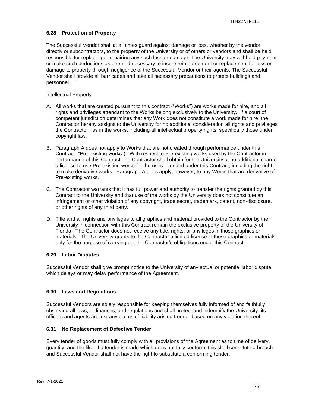## <span id="page-24-0"></span>**6.28 Protection of Property**

The Successful Vendor shall at all times guard against damage or loss, whether by the vendor directly or subcontractors, to the property of the University or of others or vendors and shall be held responsible for replacing or repairing any such loss or damage. The University may withhold payment or make such deductions as deemed necessary to insure reimbursement or replacement for loss or damage to property through negligence of the Successful Vendor or their agents. The Successful Vendor shall provide all barricades and take all necessary precautions to protect buildings and personnel.

#### Intellectual Property

- A. All works that are created pursuant to this contract ("Works") are works made for hire, and all rights and privileges attendant to the Works belong exclusively to the University. If a court of competent jurisdiction determines that any Work does not constitute a work made for hire, the Contractor hereby assigns to the University for no additional consideration all rights and privileges the Contractor has in the works, including all intellectual property rights, specifically those under copyright law.
- B. Paragraph A does not apply to Works that are not created through performance under this Contract ("Pre-existing works"). With respect to Pre-existing works used by the Contractor in performance of this Contract, the Contractor shall obtain for the University at no additional charge a license to use Pre-existing works for the uses intended under this Contract, including the right to make derivative works. Paragraph A does apply, however, to any Works that are derivative of Pre-existing works.
- C. The Contractor warrants that it has full power and authority to transfer the rights granted by this Contract to the University and that use of the works by the University does not constitute an infringement or other violation of any copyright, trade secret, trademark, patent, non-disclosure, or other rights of any third party.
- D. Title and all rights and privileges to all graphics and material provided to the Contractor by the University in connection with this Contract remain the exclusive property of the University of Florida. The Contractor does not receive any title, rights, or privileges in those graphics or materials. The University grants to the Contractor a limited license in those graphics or materials only for the purpose of carrying out the Contractor's obligations under this Contract.

#### <span id="page-24-1"></span>**6.29 Labor Disputes**

Successful Vendor shall give prompt notice to the University of any actual or potential labor dispute which delays or may delay performance of the Agreement.

## <span id="page-24-2"></span>**6.30 Laws and Regulations**

Successful Vendors are solely responsible for keeping themselves fully informed of and faithfully observing all laws, ordinances, and regulations and shall protect and indemnify the University, its officers and agents against any claims of liability arising from or based on any violation thereof.

#### <span id="page-24-3"></span>**6.31 No Replacement of Defective Tender**

Every tender of goods must fully comply with all provisions of the Agreement as to time of delivery, quantity, and the like. If a tender is made which does not fully conform, this shall constitute a breach and Successful Vendor shall not have the right to substitute a conforming tender.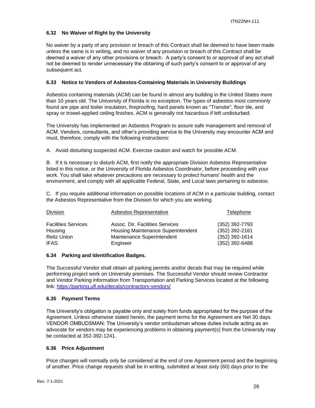## <span id="page-25-0"></span>**6.32 No Waiver of Right by the University**

No waiver by a party of any provision or breach of this Contract shall be deemed to have been made unless the same is in writing, and no waiver of any provision or breach of this Contract shall be deemed a waiver of any other provisions or breach. A party's consent to or approval of any act shall not be deemed to render unnecessary the obtaining of such party's consent to or approval of any subsequent act.

## <span id="page-25-1"></span>**6.33 Notice to Vendors of Asbestos-Containing Materials in University Buildings**

Asbestos containing materials (ACM) can be found in almost any building in the United States more than 10 years old. The University of Florida is no exception. The types of asbestos most commonly found are pipe and boiler insulation, fireproofing, hard panels known as "Transite", floor tile, and spray or trowel-applied ceiling finishes. ACM is generally not hazardous if left undisturbed.

The University has implemented an Asbestos Program to assure safe management and removal of ACM. Vendors, consultants, and other's providing service to the University may encounter ACM and must, therefore, comply with the following instructions:

A. Avoid disturbing suspected ACM. Exercise caution and watch for possible ACM.

B. If it is necessary to disturb ACM, first notify the appropriate Division Asbestos Representative listed in this notice, or the University of Florida Asbestos Coordinator, before proceeding with your work. You shall take whatever precautions are necessary to protect humans' health and the environment, and comply with all applicable Federal, State, and Local laws pertaining to asbestos.

C. If you require additional information on possible locations of ACM in a particular building, contact the Asbestos Representative from the Division for which you are working.

| Division                      | Asbestos Representative                                          | Telephone                        |
|-------------------------------|------------------------------------------------------------------|----------------------------------|
| <b>Facilities Services</b>    | Assoc. Dir. Facilities Services                                  | (352) 392-7793                   |
| Housing<br><b>Reitz Union</b> | Housing Maintenance Superintendent<br>Maintenance Superintendent | (352) 392-2161<br>(352) 392-1614 |
| <b>IFAS</b>                   | Engineer                                                         | (352) 392-6488                   |

#### <span id="page-25-2"></span>**6.34 Parking and Identification Badges.**

The Successful Vendor shall obtain all parking permits and/or decals that may be required while performing project work on University premises. The Successful Vendor should review Contractor and Vendor Parking information from Transportation and Parking Services located at the following link:<https://parking.ufl.edu/decals/contractors-vendors/>

## <span id="page-25-3"></span>**6.35 Payment Terms**

The University's obligation is payable only and solely from funds appropriated for the purpose of the Agreement. Unless otherwise stated herein, the payment terms for the Agreement are Net 30 days. VENDOR OMBUDSMAN: The University's vendor ombudsman whose duties include acting as an advocate for vendors may be experiencing problems in obtaining payment(s) from the University may be contacted at 352-392-1241.

#### <span id="page-25-4"></span>**6.36 Price Adjustment**

Price changes will normally only be considered at the end of one Agreement period and the beginning of another. Price change requests shall be in writing, submitted at least sixty (60) days prior to the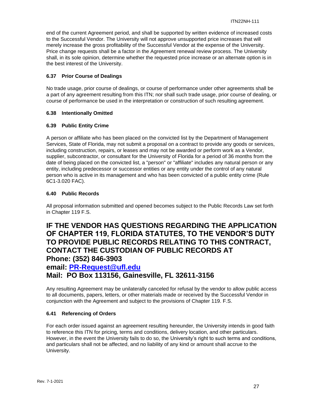end of the current Agreement period, and shall be supported by written evidence of increased costs to the Successful Vendor. The University will not approve unsupported price increases that will merely increase the gross profitability of the Successful Vendor at the expense of the University. Price change requests shall be a factor in the Agreement renewal review process. The University shall, in its sole opinion, determine whether the requested price increase or an alternate option is in the best interest of the University.

## <span id="page-26-0"></span>**6.37 Prior Course of Dealings**

No trade usage, prior course of dealings, or course of performance under other agreements shall be a part of any agreement resulting from this ITN; nor shall such trade usage, prior course of dealing, or course of performance be used in the interpretation or construction of such resulting agreement.

## <span id="page-26-1"></span>**6.38 Intentionally Omitted**

## <span id="page-26-2"></span>**6.39 Public Entity Crime**

A person or affiliate who has been placed on the convicted list by the Department of Management Services, State of Florida, may not submit a proposal on a contract to provide any goods or services, including construction, repairs, or leases and may not be awarded or perform work as a Vendor, supplier, subcontractor, or consultant for the University of Florida for a period of 36 months from the date of being placed on the convicted list, a "person" or "affiliate" includes any natural person or any entity, including predecessor or successor entities or any entity under the control of any natural person who is active in its management and who has been convicted of a public entity crime (Rule 6C1-3.020 FAC).

## <span id="page-26-3"></span>**6.40 Public Records**

All proposal information submitted and opened becomes subject to the Public Records Law set forth in Chapter 119 F.S.

## **IF THE VENDOR HAS QUESTIONS REGARDING THE APPLICATION OF CHAPTER 119, FLORIDA STATUTES, TO THE VENDOR'S DUTY TO PROVIDE PUBLIC RECORDS RELATING TO THIS CONTRACT, CONTACT THE CUSTODIAN OF PUBLIC RECORDS AT Phone: (352) 846-3903**

## **email: [PR-Request@ufl.edu](mailto:PR-Request@ufl.edu)**

**Mail: PO Box 113156, Gainesville, FL 32611-3156**

Any resulting Agreement may be unilaterally canceled for refusal by the vendor to allow public access to all documents, papers, letters, or other materials made or received by the Successful Vendor in conjunction with the Agreement and subject to the provisions of Chapter 119. F.S.

## <span id="page-26-4"></span>**6.41 Referencing of Orders**

For each order issued against an agreement resulting hereunder, the University intends in good faith to reference this ITN for pricing, terms and conditions, delivery location, and other particulars. However, in the event the University fails to do so, the University's right to such terms and conditions, and particulars shall not be affected, and no liability of any kind or amount shall accrue to the University.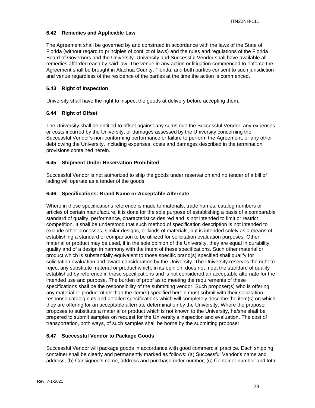## <span id="page-27-0"></span>**6.42 Remedies and Applicable Law**

The Agreement shall be governed by and construed in accordance with the laws of the State of Florida (without regard to principles of conflict of laws) and the rules and regulations of the Florida Board of Governors and the University. University and Successful Vendor shall have available all remedies afforded each by said law. The venue in any action or litigation commenced to enforce the Agreement shall be brought in Alachua County, Florida, and both parties consent to such jurisdiction and venue regardless of the residence of the parties at the time the action is commenced.

## <span id="page-27-1"></span>**6.43 Right of Inspection**

University shall have the right to inspect the goods at delivery before accepting them.

## <span id="page-27-2"></span>**6.44 Right of Offset**

The University shall be entitled to offset against any sums due the Successful Vendor, any expenses or costs incurred by the University, or damages assessed by the University concerning the Successful Vendor's non-conforming performance or failure to perform the Agreement, or any other debt owing the University, including expenses, costs and damages described in the termination provisions contained herein.

## <span id="page-27-3"></span>**6.45 Shipment Under Reservation Prohibited**

Successful Vendor is not authorized to ship the goods under reservation and no tender of a bill of lading will operate as a tender of the goods.

## <span id="page-27-4"></span>**6.46 Specifications: Brand Name or Acceptable Alternate**

Where in these specifications reference is made to materials, trade names, catalog numbers or articles of certain manufacture, it is done for the sole purpose of establishing a basis of a comparable standard of quality, performance, characteristics desired and is not intended to limit or restrict competition. It shall be understood that such method of specification description is not intended to exclude other processes, similar designs, or kinds of materials, but is intended solely as a means of establishing a standard of comparison to be utilized for solicitation evaluation purposes. Other material or product may be used, if in the sole opinion of the University, they are equal in durability, quality and of a design in harmony with the intent of these specifications. Such other material or product which is substantially equivalent to those specific brand(s) specified shall qualify for solicitation evaluation and award consideration by the University. The University reserves the right to reject any substitute material or product which, in its opinion, does not meet the standard of quality established by reference in these specifications and is not considered an acceptable alternate for the intended use and purpose. The burden of proof as to meeting the requirements of these specifications shall be the responsibility of the submitting vendor. Such proposer(s) who is offering any material or product other than the item(s) specified herein must submit with their solicitation response catalog cuts and detailed specifications which will completely describe the item(s) on which they are offering for an acceptable alternate determination by the University. Where the proposer proposes to substitute a material or product which is not known to the University, he/she shall be prepared to submit samples on request for the University's inspection and evaluation. The cost of transportation, both ways, of such samples shall be borne by the submitting proposer.

## <span id="page-27-5"></span>**6.47 Successful Vendor to Package Goods**

Successful Vendor will package goods in accordance with good commercial practice. Each shipping container shall be clearly and permanently marked as follows: (a) Successful Vendor's name and address; (b) Consignee's name, address and purchase order number; (c) Container number and total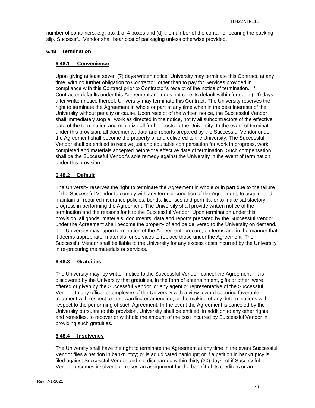number of containers, e.g. box 1 of 4 boxes and (d) the number of the container bearing the packing slip. Successful Vendor shall bear cost of packaging unless otherwise provided.

## <span id="page-28-1"></span><span id="page-28-0"></span>**6.48 Termination**

## **6.48.1 Convenience**

Upon giving at least seven (7) days written notice, University may terminate this Contract, at any time, with no further obligation to Contractor, other than to pay for Services provided in compliance with this Contract prior to Contractor's receipt of the notice of termination. If Contractor defaults under this Agreement and does not cure its default within fourteen (14) days after written notice thereof, University may terminate this Contract. The University reserves the right to terminate the Agreement in whole or part at any time when in the best interests of the University without penalty or cause. Upon receipt of the written notice, the Successful Vendor shall immediately stop all work as directed in the notice, notify all subcontractors of the effective date of the termination and minimize all further costs to the University. In the event of termination under this provision, all documents, data and reports prepared by the Successful Vendor under the Agreement shall become the property of and delivered to the University. The Successful Vendor shall be entitled to receive just and equitable compensation for work in progress, work completed and materials accepted before the effective date of termination. Such compensation shall be the Successful Vendor's sole remedy against the University in the event of termination under this provision.

## <span id="page-28-2"></span>**6.48.2 Default**

The University reserves the right to terminate the Agreement in whole or in part due to the failure of the Successful Vendor to comply with any term or condition of the Agreement, to acquire and maintain all required insurance policies, bonds, licenses and permits, or to make satisfactory progress in performing the Agreement. The University shall provide written notice of the termination and the reasons for it to the Successful Vendor. Upon termination under this provision, all goods, materials, documents, data and reports prepared by the Successful Vendor under the Agreement shall become the property of and be delivered to the University on demand. The University may, upon termination of the Agreement, procure, on terms and in the manner that it deems appropriate, materials, or services to replace those under the Agreement. The Successful Vendor shall be liable to the University for any excess costs incurred by the University in re-procuring the materials or services.

#### <span id="page-28-3"></span>**6.48.3 Gratuities**

The University may, by written notice to the Successful Vendor, cancel the Agreement if it is discovered by the University that gratuities, in the form of entertainment, gifts or other, were offered or given by the Successful Vendor, or any agent or representative of the Successful Vendor, to any officer or employee of the University with a view toward securing favorable treatment with respect to the awarding or amending, or the making of any determinations with respect to the performing of such Agreement. In the event the Agreement is canceled by the University pursuant to this provision, University shall be entitled, in addition to any other rights and remedies, to recover or withhold the amount of the cost incurred by Successful Vendor in providing such gratuities.

#### <span id="page-28-4"></span>**6.48.4 Insolvency**

The University shall have the right to terminate the Agreement at any time in the event Successful Vendor files a petition in bankruptcy; or is adjudicated bankrupt; or if a petition in bankruptcy is filed against Successful Vendor and not discharged within thirty (30) days; of if Successful Vendor becomes insolvent or makes an assignment for the benefit of its creditors or an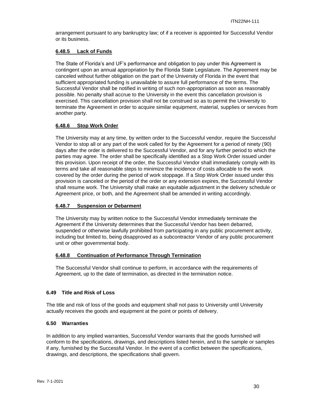arrangement pursuant to any bankruptcy law; of if a receiver is appointed for Successful Vendor or its business.

#### <span id="page-29-0"></span>**6.48.5 Lack of Funds**

The State of Florida's and UF's performance and obligation to pay under this Agreement is contingent upon an annual appropriation by the Florida State Legislature. The Agreement may be canceled without further obligation on the part of the University of Florida in the event that sufficient appropriated funding is unavailable to assure full performance of the terms. The Successful Vendor shall be notified in writing of such non-appropriation as soon as reasonably possible. No penalty shall accrue to the University in the event this cancellation provision is exercised. This cancellation provision shall not be construed so as to permit the University to terminate the Agreement in order to acquire similar equipment, material, supplies or services from another party.

## <span id="page-29-1"></span>**6.48.6 Stop Work Order**

The University may at any time, by written order to the Successful vendor, require the Successful Vendor to stop all or any part of the work called for by the Agreement for a period of ninety (90) days after the order is delivered to the Successful Vendor, and for any further period to which the parties may agree. The order shall be specifically identified as a Stop Work Order issued under this provision. Upon receipt of the order, the Successful Vendor shall immediately comply with its terms and take all reasonable steps to minimize the incidence of costs allocable to the work covered by the order during the period of work stoppage. If a Stop Work Order issued under this provision is canceled or the period of the order or any extension expires, the Successful Vendor shall resume work. The University shall make an equitable adjustment in the delivery schedule or Agreement price, or both, and the Agreement shall be amended in writing accordingly.

#### <span id="page-29-2"></span>**6.48.7 Suspension or Debarment**

The University may by written notice to the Successful Vendor immediately terminate the Agreement if the University determines that the Successful Vendor has been debarred, suspended or otherwise lawfully prohibited from participating in any public procurement activity, including but limited to, being disapproved as a subcontractor Vendor of any public procurement unit or other governmental body.

#### <span id="page-29-3"></span>**6.48.8 Continuation of Performance Through Termination**

The Successful Vendor shall continue to perform, in accordance with the requirements of Agreement, up to the date of termination, as directed in the termination notice.

#### <span id="page-29-4"></span>**6.49 Title and Risk of Loss**

The title and risk of loss of the goods and equipment shall not pass to University until University actually receives the goods and equipment at the point or points of delivery.

#### <span id="page-29-5"></span>**6.50 Warranties**

In addition to any implied warranties, Successful Vendor warrants that the goods furnished will conform to the specifications, drawings, and descriptions listed herein, and to the sample or samples if any, furnished by the Successful Vendor. In the event of a conflict between the specifications, drawings, and descriptions, the specifications shall govern.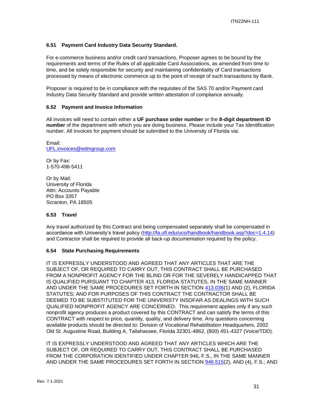## <span id="page-30-0"></span>**6.51 Payment Card Industry Data Security Standard.**

For e-commerce business and/or credit card transactions, Proposer agrees to be bound by the requirements and terms of the Rules of all applicable Card Associations, as amended from time to time, and be solely responsible for security and maintaining confidentiality of Card transactions processed by means of electronic commerce up to the point of receipt of such transactions by Bank.

Proposer is required to be in compliance with the requisites of the SAS 70 and/or Payment card Industry Data Security Standard and provide written attestation of compliance annually.

#### <span id="page-30-1"></span>**6.52 Payment and Invoice Information**

All invoices will need to contain either a **UF purchase order number** or the **8-digit department ID number** of the department with which you are doing business. Please include your Tax Identification number. All invoices for payment should be submitted to the University of Florida via:

Email: [UFL.invoices@edmgroup.com](mailto:UFL.invoices@edmgroup.com)

Or by Fax: 1-570-496-5411

Or by Mail: University of Florida Attn: Accounts Payable PO Box 3357 Scranton, PA 18505

#### **6.53 Travel**

Any travel authorized by this Contract and being compensated separately shall be compensated in accordance with University's travel policy [\(http://fa.ufl.edu/uco/handbook/handbook.asp?doc=1.4.14\)](http://fa.ufl.edu/uco/handbook/handbook.asp?doc=1.4.14) and Contractor shall be required to provide all back-up documentation required by the policy.

#### **6.54 State Purchasing Requirements**

IT IS EXPRESSLY UNDERSTOOD AND AGREED THAT ANY ARTICLES THAT ARE THE SUBJECT OF, OR REQUIRED TO CARRY OUT, THIS CONTRACT SHALL BE PURCHASED FROM A NONPROFIT AGENCY FOR THE BLIND OR FOR THE SEVERELY HANDICAPPED THAT IS QUALIFIED PURSUANT TO CHAPTER 413, FLORIDA STATUTES, IN THE SAME MANNER AND UNDER THE SAME PROCEDURES SET FORTH IN SECTION [413.036\(](http://www.leg.state.fl.us/STATUTES/index.cfm?App_mode=Display_Statute&Search_String=&URL=Ch0413/Sec036.HTM)1) AND (2), FLORIDA STATUTES; AND FOR PURPOSES OF THIS CONTRACT THE CONTRACTOR SHALL BE DEEMED TO BE SUBSTITUTED FOR THE UNIVERISTY INSOFAR AS DEALINGS WITH SUCH QUALIFIED NONPROFIT AGENCY ARE CONCERNED. This requirement applies only if any such nonprofit agency produces a product covered by this CONTRACT and can satisfy the terms of this CONTRACT with respect to price, quantity, quality, and delivery time. Any questions concerning available products should be directed to: Division of Vocational Rehabilitation Headquarters, 2002 Old St. Augustine Road, Building A, Tallahassee, Florida 32301-4862, (800) 451-4327 (Voice/TDD).

IT IS EXPRESSLY UNDERSTOOD AND AGREED THAT ANY ARTICLES WHICH ARE THE SUBJECT OF, OR REQUIRED TO CARRY OUT, THIS CONTRACT SHALL BE PURCHASED FROM THE CORPORATION IDENTIFIED UNDER CHAPTER 946, F.S., IN THE SAME MANNER AND UNDER THE SAME PROCEDURES SET FORTH IN SECTION [946.515\(](http://www.leg.state.fl.us/STATUTES/index.cfm?App_mode=Display_Statute&Search_String=&URL=Ch0946/Sec515.HTM)2), AND (4), F.S.; AND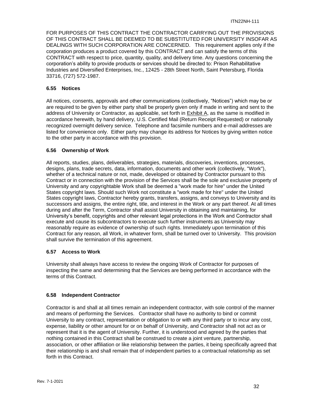FOR PURPOSES OF THIS CONTRACT THE CONTRACTOR CARRYING OUT THE PROVISIONS OF THIS CONTRACT SHALL BE DEEMED TO BE SUBSTITUTED FOR UNIVERSITY INSOFAR AS DEALINGS WITH SUCH CORPORATION ARE CONCERNED. This requirement applies only if the corporation produces a product covered by this CONTRACT and can satisfy the terms of this CONTRACT with respect to price, quantity, quality, and delivery time. Any questions concerning the corporation's ability to provide products or services should be directed to: Prison Rehabilitative Industries and Diversified Enterprises, Inc., 12425 - 28th Street North, Saint Petersburg, Florida 33716, (727) 572-1987.

## **6.55 Notices**

All notices, consents, approvals and other communications (collectively, "Notices") which may be or are required to be given by either party shall be properly given only if made in writing and sent to the address of University or Contractor, as applicable, set forth in Exhibit A, as the same is modified in accordance herewith, by hand delivery, U.S. Certified Mail (Return Receipt Requested) or nationally recognized overnight delivery service. Telephone and facsimile numbers and e-mail addresses are listed for convenience only. Either party may change its address for Notices by giving written notice to the other party in accordance with this provision.

## <span id="page-31-0"></span>**6.56 Ownership of Work**

All reports, studies, plans, deliverables, strategies, materials, discoveries, inventions, processes, designs, plans, trade secrets, data, information, documents and other work (collectively, "Work"), whether of a technical nature or not, made, developed or obtained by Contractor pursuant to this Contract or in connection with the provision of the Services shall be the sole and exclusive property of University and any copyrightable Work shall be deemed a "work made for hire" under the United States copyright laws. Should such Work not constitute a "work made for hire" under the United States copyright laws, Contractor hereby grants, transfers, assigns, and conveys to University and its successors and assigns, the entire right, title, and interest in the Work or any part thereof. At all times during and after the Term, Contractor shall assist University in obtaining and maintaining, for University's benefit, copyrights and other relevant legal protections in the Work and Contractor shall execute and cause its subcontractors to execute such further instruments as University may reasonably require as evidence of ownership of such rights. Immediately upon termination of this Contract for any reason, all Work, in whatever form, shall be turned over to University. This provision shall survive the termination of this agreement.

## **6.57 Access to Work**

University shall always have access to review the ongoing Work of Contractor for purposes of inspecting the same and determining that the Services are being performed in accordance with the terms of this Contract.

## **6.58 Independent Contractor**

Contractor is and shall at all times remain an independent contractor, with sole control of the manner and means of performing the Services. Contractor shall have no authority to bind or commit University to any contract, representation or obligation to or with any third party or to incur any cost, expense, liability or other amount for or on behalf of University, and Contractor shall not act as or represent that it is the agent of University. Further, it is understood and agreed by the parties that nothing contained in this Contract shall be construed to create a joint venture, partnership, association, or other affiliation or like relationship between the parties, it being specifically agreed that their relationship is and shall remain that of independent parties to a contractual relationship as set forth in this Contract.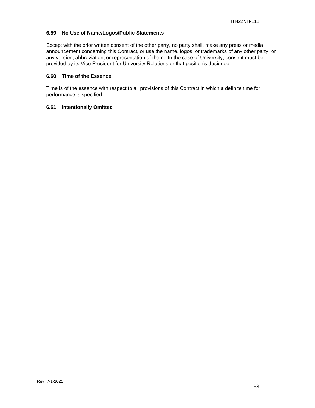## **6.59 No Use of Name/Logos/Public Statements**

Except with the prior written consent of the other party, no party shall, make any press or media announcement concerning this Contract, or use the name, logos, or trademarks of any other party, or any version, abbreviation, or representation of them. In the case of University, consent must be provided by its Vice President for University Relations or that position's designee.

#### **6.60 Time of the Essence**

Time is of the essence with respect to all provisions of this Contract in which a definite time for performance is specified.

#### **6.61 Intentionally Omitted**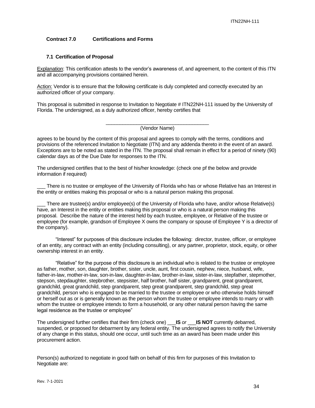#### <span id="page-33-0"></span>**Contract 7.0 Certifications and Forms**

#### **7.1 Certification of Proposal**

Explanation: This certification attests to the vendor's awareness of, and agreement, to the content of this ITN and all accompanying provisions contained herein.

Action: Vendor is to ensure that the following certificate is duly completed and correctly executed by an authorized officer of your company.

This proposal is submitted in response to Invitation to Negotiate # ITN22NH-111 issued by the University of Florida. The undersigned, as a duly authorized officer, hereby certifies that

> \_\_\_\_\_\_\_\_\_\_\_\_\_\_\_\_\_\_\_\_\_\_\_\_\_\_\_\_\_\_\_\_\_\_\_\_\_ (Vendor Name)

agrees to be bound by the content of this proposal and agrees to comply with the terms, conditions and provisions of the referenced Invitation to Negotiate (ITN) and any addenda thereto in the event of an award. Exceptions are to be noted as stated in the ITN. The proposal shall remain in effect for a period of ninety (90) calendar days as of the Due Date for responses to the ITN.

The undersigned certifies that to the best of his/her knowledge: (check one pf the below and provide information if required)

There is no trustee or employee of the University of Florida who has or whose Relative has an Interest in the entity or entities making this proposal or who is a natural person making this proposal.

There are trustee(s) and/or employee(s) of the University of Florida who have, and/or whose Relative(s) have, an Interest in the entity or entities making this proposal or who is a natural person making this proposal. Describe the nature of the interest held by each trustee, employee, or Relative of the trustee or employee (for example, grandson of Employee X owns the company or spouse of Employee Y is a director of the company).

"Interest" for purposes of this disclosure includes the following: director, trustee, officer, or employee of an entity, any contract with an entity (including consulting), or any partner, proprietor, stock, equity, or other ownership interest in an entity.

"Relative" for the purpose of this disclosure is an individual who is related to the trustee or employee as father, mother, son, daughter, brother, sister, uncle, aunt, first cousin, nephew, niece, husband, wife, father-in-law, mother-in-law, son-in-law, daughter-in-law, brother-in-law, sister-in-law, stepfather, stepmother, stepson, stepdaughter, stepbrother, stepsister, half brother, half sister, grandparent, great grandparent, grandchild, great grandchild, step grandparent, step great grandparent, step grandchild, step great grandchild, person who is engaged to be married to the trustee or employee or who otherwise holds himself or herself out as or is generally known as the person whom the trustee or employee intends to marry or with whom the trustee or employee intends to form a household, or any other natural person having the same legal residence as the trustee or employee"

The undersigned further certifies that their firm (check one) \_\_\_**IS** *or* \_\_\_**IS NOT** currently debarred, suspended, or proposed for debarment by any federal entity. The undersigned agrees to notify the University of any change in this status, should one occur, until such time as an award has been made under this procurement action.

Person(s) authorized to negotiate in good faith on behalf of this firm for purposes of this Invitation to Negotiate are: